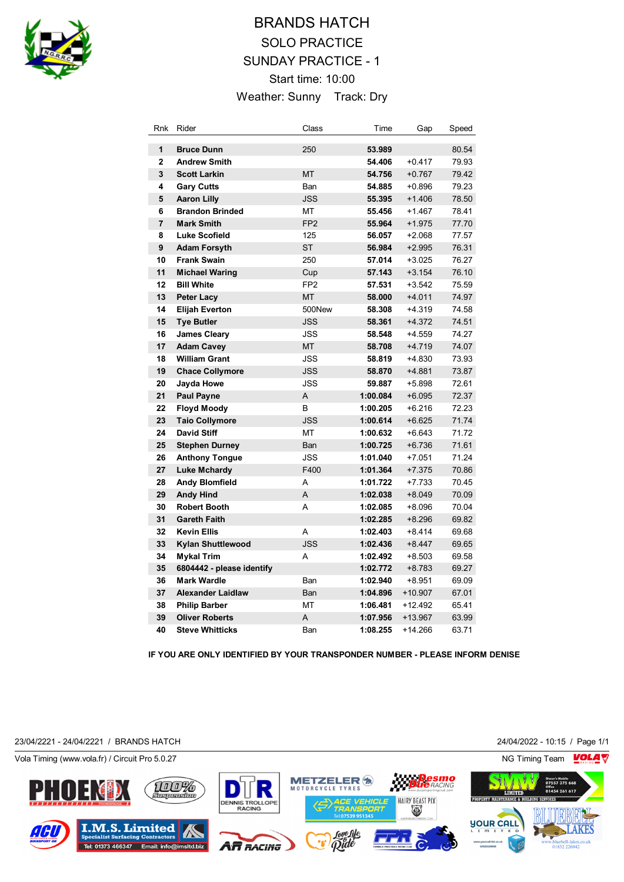

# BRANDS HATCH SOLO PRACTICE SUNDAY PRACTICE - 1 Start time: 10:00 Weather: Sunny Track: Dry

| Rnk            | Rider                     | Class           | Time     | Gap       | Speed |
|----------------|---------------------------|-----------------|----------|-----------|-------|
| 1              | <b>Bruce Dunn</b>         | 250             | 53.989   |           | 80.54 |
| $\overline{2}$ | <b>Andrew Smith</b>       |                 | 54.406   | $+0.417$  | 79.93 |
| 3              | <b>Scott Larkin</b>       | <b>MT</b>       | 54.756   | $+0.767$  | 79.42 |
| 4              | <b>Gary Cutts</b>         | Ban             | 54.885   | $+0.896$  | 79.23 |
| 5              | <b>Aaron Lilly</b>        | <b>JSS</b>      | 55.395   | $+1.406$  | 78.50 |
| 6              | <b>Brandon Brinded</b>    | MT              | 55.456   | $+1.467$  | 78.41 |
| $\overline{7}$ | <b>Mark Smith</b>         | FP <sub>2</sub> | 55.964   | $+1.975$  | 77.70 |
| 8              | <b>Luke Scofield</b>      | 125             | 56.057   | $+2.068$  | 77.57 |
| 9              | <b>Adam Forsyth</b>       | <b>ST</b>       | 56.984   | $+2.995$  | 76.31 |
| 10             | <b>Frank Swain</b>        | 250             | 57.014   | $+3.025$  | 76.27 |
| 11             | <b>Michael Waring</b>     | Cup             | 57.143   | $+3.154$  | 76.10 |
| 12             | <b>Bill White</b>         | FP <sub>2</sub> | 57.531   | $+3.542$  | 75.59 |
| 13             | <b>Peter Lacy</b>         | <b>MT</b>       | 58.000   | $+4.011$  | 74.97 |
| 14             | <b>Elijah Everton</b>     | 500New          | 58.308   | $+4.319$  | 74.58 |
| 15             | <b>Tye Butler</b>         | <b>JSS</b>      | 58.361   | $+4.372$  | 74.51 |
| 16             | <b>James Cleary</b>       | <b>JSS</b>      | 58.548   | $+4.559$  | 74.27 |
| 17             | <b>Adam Cavey</b>         | <b>MT</b>       | 58.708   | $+4.719$  | 74.07 |
| 18             | <b>William Grant</b>      | <b>JSS</b>      | 58.819   | $+4.830$  | 73.93 |
| 19             | <b>Chace Collymore</b>    | <b>JSS</b>      | 58.870   | $+4.881$  | 73.87 |
| 20             | Jayda Howe                | <b>JSS</b>      | 59.887   | $+5.898$  | 72.61 |
| 21             | <b>Paul Payne</b>         | A               | 1:00.084 | $+6.095$  | 72.37 |
| 22             | <b>Floyd Moody</b>        | B               | 1:00.205 | $+6.216$  | 72.23 |
| 23             | <b>Taio Collymore</b>     | <b>JSS</b>      | 1:00.614 | $+6.625$  | 71.74 |
| 24             | <b>David Stiff</b>        | <b>MT</b>       | 1:00.632 | $+6.643$  | 71.72 |
| 25             | <b>Stephen Durney</b>     | Ban             | 1:00.725 | $+6.736$  | 71.61 |
| 26             | <b>Anthony Tongue</b>     | <b>JSS</b>      | 1:01.040 | $+7.051$  | 71.24 |
| 27             | <b>Luke Mchardy</b>       | F400            | 1:01.364 | $+7.375$  | 70.86 |
| 28             | <b>Andy Blomfield</b>     | A               | 1:01.722 | $+7.733$  | 70.45 |
| 29             | <b>Andy Hind</b>          | A               | 1:02.038 | $+8.049$  | 70.09 |
| 30             | <b>Robert Booth</b>       | A               | 1:02.085 | $+8.096$  | 70.04 |
| 31             | <b>Gareth Faith</b>       |                 | 1:02.285 | $+8.296$  | 69.82 |
| 32             | <b>Kevin Ellis</b>        | A               | 1:02.403 | $+8.414$  | 69.68 |
| 33             | Kylan Shuttlewood         | <b>JSS</b>      | 1:02.436 | $+8.447$  | 69.65 |
| 34             | <b>Mykal Trim</b>         | A               | 1:02.492 | $+8.503$  | 69.58 |
| 35             | 6804442 - please identify |                 | 1:02.772 | $+8.783$  | 69.27 |
| 36             | <b>Mark Wardle</b>        | Ban             | 1:02.940 | $+8.951$  | 69.09 |
| 37             | <b>Alexander Laidlaw</b>  | Ban             | 1:04.896 | $+10.907$ | 67.01 |
| 38             | <b>Philip Barber</b>      | MT              | 1:06.481 | +12.492   | 65.41 |
| 39             | <b>Oliver Roberts</b>     | A               | 1:07.956 | +13.967   | 63.99 |
| 40             | <b>Steve Whitticks</b>    | Ban             | 1:08.255 | $+14.266$ | 63.71 |

**IF YOU ARE ONLY IDENTIFIED BY YOUR TRANSPONDER NUMBER - PLEASE INFORM DENISE**

23/04/2221 - 24/04/2221 / BRANDS HATCH 24/04/2022 - 10:15 / Page 1/1



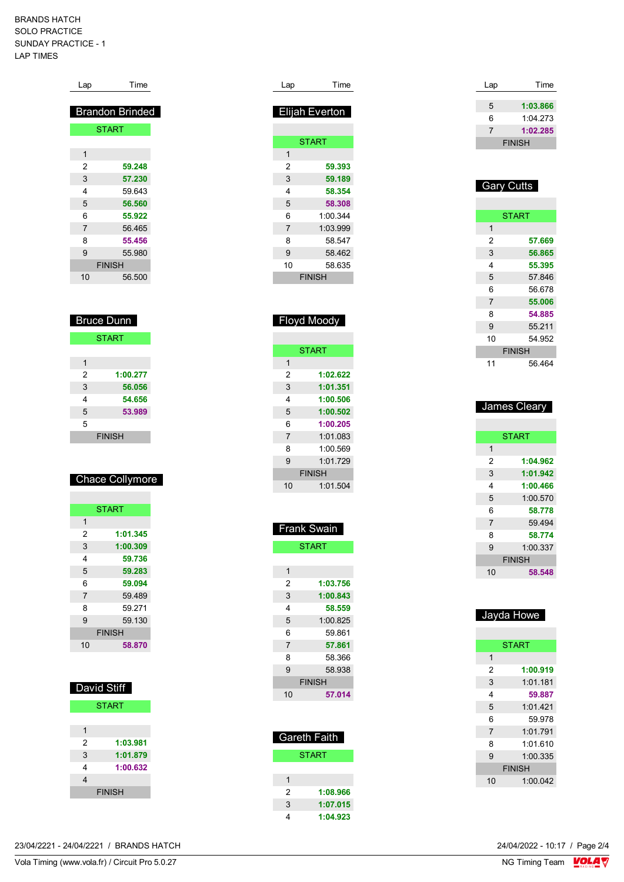BRANDS HATCH SOLO PRACTICE SUNDAY PRACTICE - 1 LAP TIMES

| Lap               | Time                   |
|-------------------|------------------------|
|                   |                        |
|                   | <b>Brandon Brinded</b> |
|                   | <b>START</b>           |
|                   |                        |
| $\overline{1}$    |                        |
| $\overline{2}$    | 59.248                 |
| 3                 | 57.230                 |
| 4                 | 59.643                 |
| 5                 | 56.560                 |
| 6                 | 55.922                 |
| $\overline{7}$    | 56.465                 |
| 8                 | 55.456                 |
| 9                 | 55.980                 |
|                   | <b>FINISH</b>          |
| 10                | 56.500                 |
|                   |                        |
|                   |                        |
| <b>Bruce Dunn</b> |                        |
|                   |                        |
|                   | <b>START</b>           |
| $\overline{1}$    |                        |
| $\overline{2}$    | 1:00.277               |
| 3                 | 56.056                 |
| 4                 | 54.656                 |
| 5                 | 53.989                 |

| 5 |               |  |
|---|---------------|--|
|   | <b>FINISH</b> |  |
|   |               |  |

## Chace Collymore

| 1              |          |
|----------------|----------|
|                |          |
| 2              | 1:01.345 |
| 3              | 1:00.309 |
| 4              | 59.736   |
| 5              | 59.283   |
| 6              | 59.094   |
| $\overline{7}$ | 59.489   |
| 8              | 59 271   |
| 9              | 59.130   |
| <b>FINISH</b>  |          |
| 10             | 58.870   |

| David Stiff |               |  |  |
|-------------|---------------|--|--|
|             | <b>START</b>  |  |  |
|             |               |  |  |
| 1           |               |  |  |
| 2           | 1:03.981      |  |  |
| 3           | 1:01.879      |  |  |
| 4           | 1:00.632      |  |  |
| 4           |               |  |  |
|             | <b>FINISH</b> |  |  |

| Lap            | Time           |
|----------------|----------------|
|                | Elijah Everton |
|                |                |
|                | <b>START</b>   |
| 1              |                |
| 2              | 59.393         |
| 3              | 59.189         |
| 4              | 58.354         |
| 5              | 58.308         |
| 6              | 1:00.344       |
| $\overline{7}$ | 1:03.999       |
| 8              | 58.547         |
| 9              | 58.462         |
| 10             | 58.635         |
|                | <b>FINISH</b>  |
|                |                |

| $\tilde{\phantom{a}}$<br>у<br>×<br>.,<br>n<br>.,<br>$\sim$<br>$\sim$ |               |  |
|----------------------------------------------------------------------|---------------|--|
|                                                                      |               |  |
|                                                                      | <b>START</b>  |  |
| 1                                                                    |               |  |
| 2                                                                    | 1:02.622      |  |
| 3                                                                    | 1:01.351      |  |
| 4                                                                    | 1:00.506      |  |
| 5                                                                    | 1:00.502      |  |
| 6                                                                    | 1:00.205      |  |
| 7                                                                    | 1:01.083      |  |
| 8                                                                    | 1:00.569      |  |
| 9                                                                    | 1.01729       |  |
|                                                                      | <b>FINISH</b> |  |
| 10                                                                   | 1:01.504      |  |

Floyd Moody

| <u>Fra</u> nk Swain |  |  |
|---------------------|--|--|
| <b>START</b>        |  |  |
|                     |  |  |
|                     |  |  |
| 1:03.756            |  |  |
| 1:00.843            |  |  |
| 58.559              |  |  |
| 1:00.825            |  |  |
| 59 861              |  |  |
| 57.861              |  |  |
| 58.366              |  |  |
| 58.938              |  |  |
| <b>FINISH</b>       |  |  |
| 57.014              |  |  |
|                     |  |  |

| <b>Gareth Faith</b> |          |  |
|---------------------|----------|--|
| <b>START</b>        |          |  |
|                     |          |  |
|                     |          |  |
| 2                   | 1:08.966 |  |
| 3                   | 1:07.015 |  |
|                     | 1:04.923 |  |

| Lap | Time          |
|-----|---------------|
|     |               |
| 5   | 1:03.866      |
| 6   | 1:04.273      |
|     | 1:02.285      |
|     | <b>FINISH</b> |

## Gary Cutts

|    | <b>START</b>  |
|----|---------------|
| 1  |               |
| 2  | 57.669        |
| 3  | 56.865        |
| 4  | 55.395        |
| 5  | 57.846        |
| 6  | 56 678        |
| 7  | 55.006        |
| 8  | 54.885        |
| 9  | 55.211        |
| 10 | 54 952        |
|    | <b>FINISH</b> |
| 11 | 56.464        |

| James Cleary   |               |  |
|----------------|---------------|--|
|                |               |  |
|                | <b>START</b>  |  |
| 1              |               |  |
| 2              | 1:04.962      |  |
| 3              | 1:01.942      |  |
| 4              | 1:00.466      |  |
| 5              | 1:00.570      |  |
| 6              | 58.778        |  |
| $\overline{7}$ | 59.494        |  |
| 8              | 58.774        |  |
| 9              | 1:00.337      |  |
|                | <b>FINISH</b> |  |
| 10             | 58.548        |  |

| Jayda Howe    |              |  |
|---------------|--------------|--|
|               |              |  |
|               | <b>START</b> |  |
| 1             |              |  |
| 2             | 1:00.919     |  |
| 3             | 1:01.181     |  |
| 4             | 59.887       |  |
| 5             | 1:01.421     |  |
| 6             | 59 978       |  |
| 7             | 1:01.791     |  |
| 8             | 1.01610      |  |
| 9             | 1:00.335     |  |
| <b>FINISH</b> |              |  |
| 10            | 1:00.042     |  |
|               |              |  |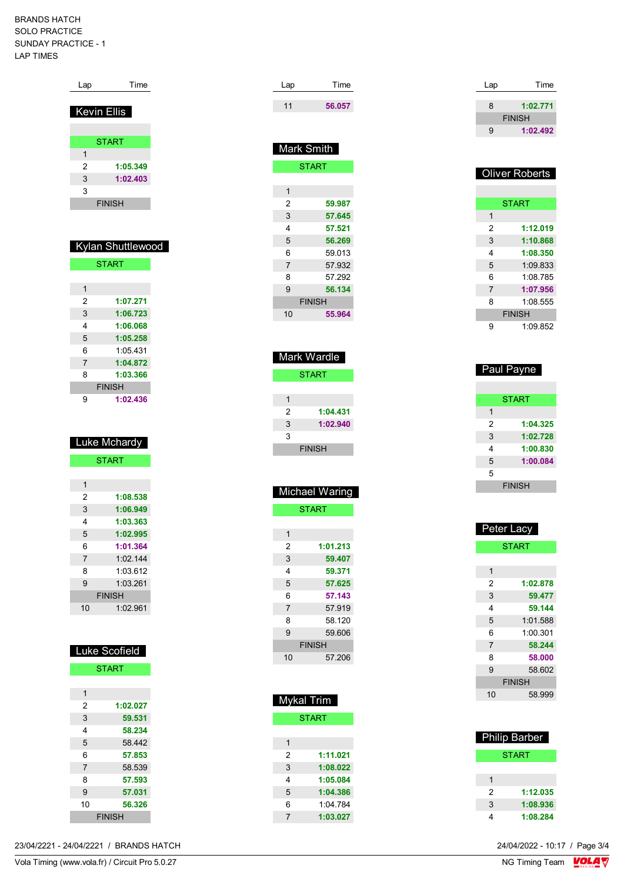#### BRANDS HATCH SOLO PRACTICE SUNDAY PRACTICE - 1 LAP TIMES

| Lap                | Time              |  |
|--------------------|-------------------|--|
|                    |                   |  |
| <b>Kevin Ellis</b> |                   |  |
|                    |                   |  |
|                    |                   |  |
|                    | <b>START</b>      |  |
| 1                  |                   |  |
| 2                  | 1:05.349          |  |
| 3                  | 1:02.403          |  |
| 3                  |                   |  |
|                    | <b>FINISH</b>     |  |
|                    |                   |  |
|                    |                   |  |
|                    |                   |  |
|                    | Kylan Shuttlewood |  |
|                    | <b>START</b>      |  |
|                    |                   |  |
|                    |                   |  |
| $\mathbf{1}$       |                   |  |
| 2                  | 1:07.271          |  |
| 3                  | 1:06.723          |  |
| 4                  | 1:06.068          |  |
| 5                  | 1:05.258          |  |
| 6                  | 1:05.431          |  |
| 7                  | 1:04.872          |  |
| 8                  | 1:03.366          |  |
|                    | <b>FINISH</b>     |  |
| 9                  | 1:02.436          |  |
|                    |                   |  |
|                    |                   |  |
|                    |                   |  |
|                    |                   |  |
|                    |                   |  |
|                    | Luke Mchardy      |  |
|                    | <b>START</b>      |  |
|                    |                   |  |
| 1                  |                   |  |
| 2                  | 1:08.538          |  |
| 3                  | 1:06.949          |  |
| 4                  | 1:03.363          |  |
| 5                  | 1:02.995          |  |
| 6                  | 1:01.364          |  |
| 7                  | 1:02.144          |  |
| 8                  | 1:03.612          |  |
| 9                  | 1:03.261          |  |
|                    | <b>FINISH</b>     |  |
| 10                 | 1:02.961          |  |
|                    |                   |  |
|                    |                   |  |
|                    |                   |  |
|                    | Luke Scofield     |  |
|                    |                   |  |
|                    | <b>START</b>      |  |
|                    |                   |  |
| 1                  |                   |  |
| 2                  | 1:02.027          |  |
| 3                  | 59.531            |  |
| 4                  | 58.234            |  |
| 5                  | 58.442            |  |
| 6                  | 57.853            |  |
| 7                  | 58.539            |  |
| 8                  | 57.593            |  |
| 9                  | 57.031            |  |

| Lap | Time   |
|-----|--------|
| 11  | 56.057 |

| Mark Smith     |               |  |
|----------------|---------------|--|
|                | <b>START</b>  |  |
|                |               |  |
| 1              |               |  |
| 2              | 59.987        |  |
| 3              | 57.645        |  |
| 4              | 57.521        |  |
| 5              | 56.269        |  |
| 6              | 59.013        |  |
| $\overline{7}$ | 57.932        |  |
| 8              | 57.292        |  |
| 9              | 56.134        |  |
|                | <b>FINISH</b> |  |
| 10             | 55.964        |  |
|                |               |  |

| Mark Wardle   |          |  |
|---------------|----------|--|
| <b>START</b>  |          |  |
|               |          |  |
| 1             |          |  |
| 2             | 1:04.431 |  |
| 3             | 1:02.940 |  |
| 3             |          |  |
| <b>FINISH</b> |          |  |

|                | Michael Waring |
|----------------|----------------|
|                | <b>START</b>   |
|                |                |
| 1              |                |
| 2              | 1:01.213       |
| 3              | 59.407         |
| 4              | 59.371         |
| 5              | 57.625         |
| 6              | 57.143         |
| $\overline{7}$ | 57.919         |
| 8              | 58.120         |
| 9              | 59.606         |
|                | <b>FINISH</b>  |
| 10             | 57.206         |

| Mykal Trim |              |  |
|------------|--------------|--|
|            | <b>START</b> |  |
|            |              |  |
| 1          |              |  |
| 2          | 1:11.021     |  |
| 3          | 1:08.022     |  |
| 4          | 1:05.084     |  |
| 5          | 1:04.386     |  |
| 6          | 1.04784      |  |
| 7          | 1:03.027     |  |

| Lap | Time          |
|-----|---------------|
| 8   | 1:02.771      |
|     | <b>FINISH</b> |
|     |               |
| q   | 1:02.492      |

| <b>Oliver Roberts</b> |               |  |
|-----------------------|---------------|--|
|                       |               |  |
|                       | <b>START</b>  |  |
| 1                     |               |  |
| 2                     | 1:12.019      |  |
| 3                     | 1:10.868      |  |
| 4                     | 1:08.350      |  |
| 5                     | 1:09.833      |  |
| 6                     | 1:08.785      |  |
| $\overline{7}$        | 1:07.956      |  |
| 8                     | 1:08.555      |  |
|                       | <b>FINISH</b> |  |
| 9                     | 1:09.852      |  |

| Paul Payne    |              |  |
|---------------|--------------|--|
|               | <b>START</b> |  |
| 1             |              |  |
| 2             | 1:04.325     |  |
| 3             | 1:02.728     |  |
| 4             | 1:00.830     |  |
| 5             | 1:00.084     |  |
| 5             |              |  |
| <b>FINISH</b> |              |  |

| Peter Lacy |               |  |
|------------|---------------|--|
|            | <b>START</b>  |  |
|            |               |  |
| 1          |               |  |
| 2          | 1:02.878      |  |
| 3          | 59.477        |  |
| 4          | 59.144        |  |
| 5          | 1:01.588      |  |
| 6          | 1:00.301      |  |
| 7          | 58.244        |  |
| 8          | 58.000        |  |
| 9          | 58.602        |  |
|            | <b>FINISH</b> |  |
| 10         | 58.999        |  |
|            |               |  |

|   | <b>Philip Barber</b> |
|---|----------------------|
|   | START                |
|   |                      |
| 1 |                      |
| 2 | 1:12.035             |
| 3 | 1:08.936             |
|   | 1:08.284             |

23/04/2221 - 24/04/2221 / BRANDS HATCH

FINISH